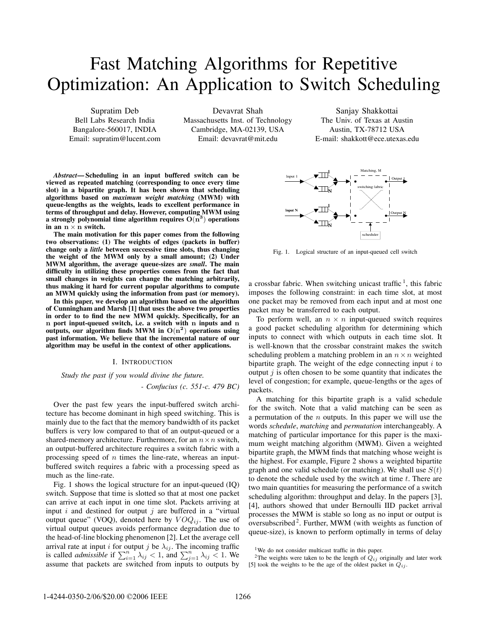# Fast Matching Algorithms for Repetitive Optimization: An Application to Switch Scheduling

Supratim Deb Bell Labs Research India Bangalore-560017, INDIA Email: supratim@lucent.com

Devavrat Shah Massachusetts Inst. of Technology Cambridge, MA-02139, USA Email: devavrat@mit.edu

*Abstract***— Scheduling in an input buffered switch can be viewed as repeated matching (corresponding to once every time slot) in a bipartite graph. It has been shown that scheduling algorithms based on** *maximum weight matching* **(MWM) with queue-lengths as the weights, leads to excellent performance in terms of throughput and delay. However, computing MWM using a strongly polynomial time algorithm requires**  $O(n^3)$  operations **in an**  $n \times n$  **switch.** 

**The main motivation for this paper comes from the following two observations: (1) The weights of edges (packets in buffer) change only a** *little* **between successive time slots, thus changing the weight of the MWM only by a small amount; (2) Under MWM algorithm, the average queue-sizes are** *small***. The main difficulty in utilizing these properties comes from the fact that small changes in weights can change the matching arbitrarily, thus making it hard for current popular algorithms to compute an MWM quickly using the information from past (or memory).**

**In this paper, we develop an algorithm based on the algorithm of Cunningham and Marsh [1] that uses the above two properties in order to to find the new MWM quickly. Specifically, for an n port input-queued switch, i.e. a switch with n inputs and n outputs, our algorithm finds MWM in**  $O(n^2)$  operations using **past information. We believe that the incremental nature of our algorithm may be useful in the context of other applications.**

# I. INTRODUCTION

*Study the past if you would divine the future. - Confucius (c. 551-c. 479 BC)*

Over the past few years the input-buffered switch architecture has become dominant in high speed switching. This is mainly due to the fact that the memory bandwidth of its packet buffers is very low compared to that of an output-queued or a shared-memory architecture. Furthermore, for an  $n \times n$  switch, an output-buffered architecture requires a switch fabric with a processing speed of  $n$  times the line-rate, whereas an inputbuffered switch requires a fabric with a processing speed as much as the line-rate.

Fig. 1 shows the logical structure for an input-queued (IQ) switch. Suppose that time is slotted so that at most one packet can arrive at each input in one time slot. Packets arriving at input  $i$  and destined for output  $j$  are buffered in a "virtual output queue" (VOQ), denoted here by  $VOQ_{ij}$ . The use of virtual output queues avoids performance degradation due to the head-of-line blocking phenomenon [2]. Let the average cell arrival rate at input *i* for output *j* be  $\lambda_{ij}$ . The incoming traffic is called *admissible* if  $\sum_{i=1}^{n} \lambda_{ij} < 1$ , and  $\sum_{i=1}^{n} \lambda_{ij} < 1$ . We assume that packets are switched from inputs to outputs by assume that packets are switched from inputs to outputs by

Sanjay Shakkottai The Univ. of Texas at Austin Austin, TX-78712 USA E-mail: shakkott@ece.utexas.edu



Fig. 1. Logical structure of an input-queued cell switch

a crossbar fabric. When switching unicast traffic  $\frac{1}{1}$ , this fabric imposes the following constraint: in each time slot, at most one packet may be removed from each input and at most one packet may be transferred to each output.

To perform well, an  $n \times n$  input-queued switch requires a good packet scheduling algorithm for determining which inputs to connect with which outputs in each time slot. It is well-known that the crossbar constraint makes the switch scheduling problem a matching problem in an  $n \times n$  weighted bipartite graph. The weight of the edge connecting input  $i$  to output  $i$  is often chosen to be some quantity that indicates the level of congestion; for example, queue-lengths or the ages of packets.

A matching for this bipartite graph is a valid schedule for the switch. Note that a valid matching can be seen as a permutation of the  $n$  outputs. In this paper we will use the words *schedule*, *matching* and *permutation* interchangeably. A matching of particular importance for this paper is the maximum weight matching algorithm (MWM). Given a weighted bipartite graph, the MWM finds that matching whose weight is the highest. For example, Figure 2 shows a weighted bipartite graph and one valid schedule (or matching). We shall use  $S(t)$ to denote the schedule used by the switch at time  $t$ . There are two main quantities for measuring the performance of a switch scheduling algorithm: throughput and delay. In the papers [3], [4], authors showed that under Bernoulli IID packet arrival processes the MWM is stable so long as no input or output is oversubscribed<sup>2</sup>. Further, MWM (with weights as function of queue-size), is known to perform optimally in terms of delay

<sup>2</sup>The weights were taken to be the length of  $Q_{ij}$  originally and later work [5] took the weights to be the age of the oldest packet in  $Q_{ij}$ .

<sup>&</sup>lt;sup>1</sup>We do not consider multicast traffic in this paper.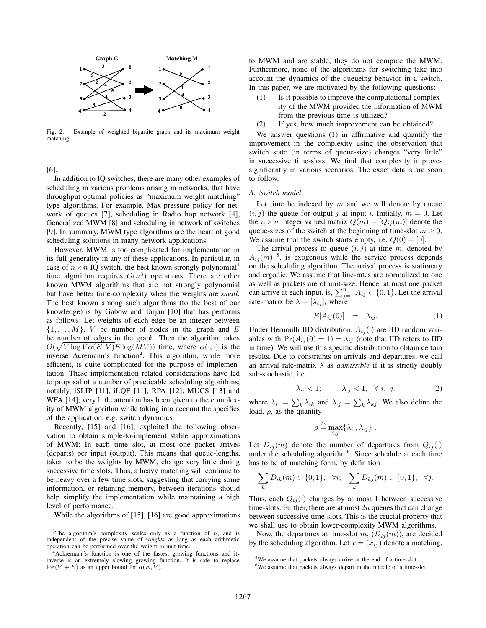

Fig. 2. Example of weighted bipartite graph and its maximum weight matching.

[6].

In addition to IQ switches, there are many other examples of scheduling in various problems arising in networks, that have throughput optimal policies as "maximum weight matching" type algorithms. For example, Max-pressure policy for network of queues [7], scheduling in Radio hop network [4], Generalized MWM [8] and scheduling in network of switches [9]. In summary, MWM type algorithms are the heart of good scheduling solutions in many network applications.

However, MWM is too complicated for implementation in its full generality in any of these applications. In particular, in case of  $n \times n$  IQ switch, the best known strongly polynomial<sup>3</sup> time algorithm requires  $O(n^3)$  operations. There are other known MWM algorithms that are not strongly polynomial but have better time-complexity when the weights are *small*. The best known among such algorithms (to the best of our knowledge) is by Gabow and Tarjan [10] that has performs as follows: Let weights of each edge be an integer between  $\{1,\ldots,M\}$ , V be number of nodes in the graph and E be number of edges in the graph. Then the algorithm takes  $O(\sqrt{V \log V \alpha(E, V)E \log(MV)})$  time, where  $\alpha(\cdot, \cdot)$  is the inverse Acremann's function<sup>4</sup>. This algorithm while more inverse Acremann's function<sup>4</sup>. This algorithm, while more efficient, is quite complicated for the purpose of implementation. These implementation related considerations have led to proposal of a number of practicable scheduling algorithms; notably, iSLIP [11], iLQF [11], RPA [12], MUCS [13] and WFA [14]; very little attention has been given to the complexity of MWM algorithm while taking into account the specifics of the application, e.g. switch dynamics.

Recently, [15] and [16], exploited the following observation to obtain simple-to-implement stable approximations of MWM: In each time slot, at most one packet arrives (departs) per input (output). This means that queue-lengths, taken to be the weights by MWM, change very little during successive time slots. Thus, a heavy matching will continue to be heavy over a few time slots, suggesting that carrying some information, or retaining memory, between iterations should help simplify the implementation while maintaining a high level of performance.

While the algorithms of [15], [16] are good approximations

to MWM and are stable, they do not compute the MWM. Furthermore, none of the algorithms for switching take into account the dynamics of the queueing behavior in a switch. In this paper, we are motivated by the following questions:

- (1) Is it possible to improve the computational complexity of the MWM provided the information of MWM from the previous time is utilized?
- (2) If yes, how much improvement can be obtained?

We answer questions (1) in affirmative and quantify the improvement in the complexity using the observation that switch state (in terms of queue-size) changes "very little" in successive time-slots. We find that complexity improves significantly in various scenarios. The exact details are soon to follow.

# *A. Switch model*

Let time be indexed by  $m$  and we will denote by queue  $(i, j)$  the queue for output j at input i. Initially,  $m = 0$ . Let the  $n \times n$  integer valued matrix  $Q(m)=[Q_{ij}(m)]$  denote the queue-sizes of the switch at the beginning of time-slot  $m \geq 0$ . We assume that the switch starts empty, i.e.  $Q(0) = [0]$ .

The arrival process to queue  $(i, j)$  at time m, denoted by  $A_{ij}(m)$ <sup>5</sup>, is exogenous while the service process depends on the scheduling algorithm. The arrival process is stationary and ergodic. We assume that line-rates are normalized to one as well as packets are of unit-size. Hence, at most one packet can arrive at each input. is,  $\sum_{j=1}^{n} A_{ij} \in \{0, 1\}$ . Let the arrival<br>rate-matrix be  $\lambda = [\lambda_{ij}]$  where rate-matrix be  $\lambda = [\lambda_{ij}]$ , where

$$
E[A_{ij}(0)] = \lambda_{ij}.
$$
 (1)

Under Bernoulli IID distribution,  $A_{ij}(\cdot)$  are IID random variables with  $Pr(A_{ij}(0) = 1) = \lambda_{ij}$  (note that IID refers to IID in time). We will use this specific distribution to obtain certain results. Due to constraints on arrivals and departures, we call an arrival rate-matrix  $\lambda$  as *admissible* if it is strictly doubly sub-stochastic, i.e.

$$
\lambda_i < 1; \qquad \lambda_j < 1, \quad \forall \ i, \ j. \tag{2}
$$

where  $\lambda_i = \sum_k \lambda_{ik}$  and  $\lambda_{:j} = \sum_k \lambda_{kj}$ . We also define the load  $\rho$  as the quantity load,  $\rho$ , as the quantity

$$
\rho \stackrel{\triangle}{=} \max_{i,j} \{ \lambda_i, \lambda_j \} .
$$

Let  $D_{ij}(m)$  denote the number of departures from  $Q_{ij}(\cdot)$ under the scheduling algorithm<sup>6</sup>. Since schedule at each time has to be of matching form, by definition

$$
\sum_{k} D_{ik}(m) \in \{0, 1\}, \quad \forall i; \quad \sum_{k} D_{kj}(m) \in \{0, 1\}, \quad \forall j.
$$

Thus, each  $Q_{ij}(\cdot)$  changes by at most 1 between successive time-slots. Further, there are at most  $2n$  queues that can change between successive time-slots. This is the crucial property that we shall use to obtain lower-complexity MWM algorithms.

Now, the departures at time-slot m,  $(D_{ij}(m))$ , are decided by the scheduling algorithm. Let  $x = (x_{ij})$  denote a matching.

<sup>&</sup>lt;sup>3</sup>The algorithm's complexity scales only as a function of  $n$ , and is independent of the precise value of *weights* as long as each arithmetic operation can be performed over the weight in unit time.

<sup>4</sup>Ackremann's function is one of the fastest growing functions and its inverse is an extremely slowing growing function. It is safe to replace  $log(V + E)$  as an upper bound for  $\alpha(E, V)$ .

<sup>5</sup>We assume that packets always arrive at the end of a time-slot.

<sup>6</sup>We assume that packets always depart in the middle of a time-slot.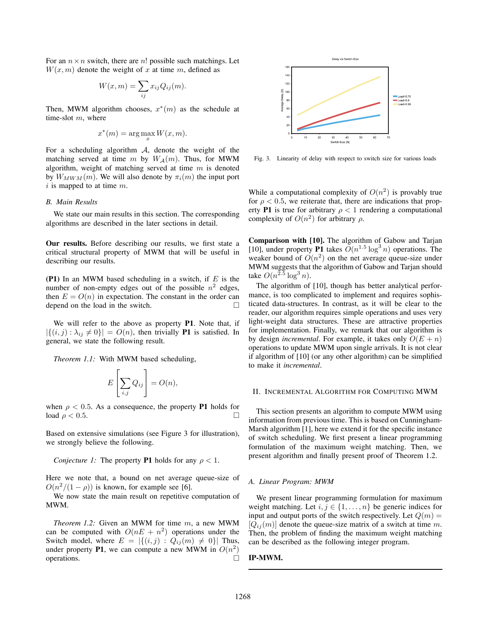For an  $n \times n$  switch, there are n! possible such matchings. Let  $W(x, m)$  denote the weight of x at time m, defined as

$$
W(x,m) = \sum_{ij} x_{ij} Q_{ij}(m).
$$

Then, MWM algorithm chooses,  $x^*(m)$  as the schedule at time-slot m, where

$$
x^*(m) = \arg\max_x W(x, m).
$$

For a scheduling algorithm  $A$ , denote the weight of the matching served at time m by  $W_A(m)$ . Thus, for MWM algorithm, weight of matching served at time  $m$  is denoted by  $W_{MWM}(m)$ . We will also denote by  $\pi_i(m)$  the input port  $i$  is mapped to at time  $m$ .

## *B. Main Results*

We state our main results in this section. The corresponding algorithms are described in the later sections in detail.

**Our results.** Before describing our results, we first state a critical structural property of MWM that will be useful in describing our results.

**(P1)** In an MWM based scheduling in a switch, if  $E$  is the number of non-empty edges out of the possible  $n^2$  edges, then  $E = O(n)$  in expectation. The constant in the order can depend on the load in the switch.

We will refer to the above as property **P1**. Note that, if  $|\{(i, j) : \lambda_{ij} \neq 0\}| = O(n)$ , then trivially **P1** is satisfied. In general, we state the following result.

*Theorem 1.1:* With MWM based scheduling,

$$
E\left[\sum_{i,j}Q_{ij}\right]=O(n),
$$

when  $\rho < 0.5$ . As a consequence, the property **P1** holds for load  $\rho < 0.5$ . load  $\rho < 0.5$ .

Based on extensive simulations (see Figure 3 for illustration), we strongly believe the following.

## *Conjecture 1:* The property **P1** holds for any  $\rho < 1$ .

Here we note that, a bound on net average queue-size of  $O(n^2/(1 - \rho))$  is known, for example see [6].

We now state the main result on repetitive computation of MWM.

*Theorem 1.2:* Given an MWM for time m, a new MWM can be computed with  $O(nE + n^2)$  operations under the Switch model, where  $E = |\{(i, j) : Q_{ij}(m) \neq 0\}|$  Thus, under property **P1**, we can compute a new MWM in  $O(n^2)$  operations. operations.



Fig. 3. Linearity of delay with respect to switch size for various loads

While a computational complexity of  $O(n^2)$  is provably true for  $\rho < 0.5$ , we reiterate that, there are indications that property **P1** is true for arbitrary  $\rho < 1$  rendering a computational complexity of  $O(n^2)$  for arbitrary  $\rho$ .

**Comparison with [10].** The algorithm of Gabow and Tarjan [10], under property **P1** takes  $O(n^{1.5} \log^3 n)$  operations. The weaker bound of  $O(n^2)$  on the net average queue-size under MWM suggests that the algorithm of Gabow and Tarjan should take  $O(n^{2.5} \log^3 n)$ .

The algorithm of [10], though has better analytical performance, is too complicated to implement and requires sophisticated data-structures. In contrast, as it will be clear to the reader, our algorithm requires simple operations and uses very light-weight data structures. These are attractive properties for implementation. Finally, we remark that our algorithm is by design *incremental*. For example, it takes only  $O(E + n)$ operations to update MWM upon single arrivals. It is not clear if algorithm of [10] (or any other algorithm) can be simplified to make it *incremental*.

# II. INCREMENTAL ALGORITHM FOR COMPUTING MWM

This section presents an algorithm to compute MWM using information from previous time. This is based on Cunningham-Marsh algorithm [1], here we extend it for the specific instance of switch scheduling. We first present a linear programming formulation of the maximum weight matching. Then, we present algorithm and finally present proof of Theorem 1.2.

## *A. Linear Program: MWM*

We present linear programming formulation for maximum weight matching. Let  $i, j \in \{1, \ldots, n\}$  be generic indices for input and output ports of the switch respectively. Let  $Q(m)$  =  $[Q_{ij}(m)]$  denote the queue-size matrix of a switch at time m. Then, the problem of finding the maximum weight matching can be described as the following integer program.

# **IP-MWM.**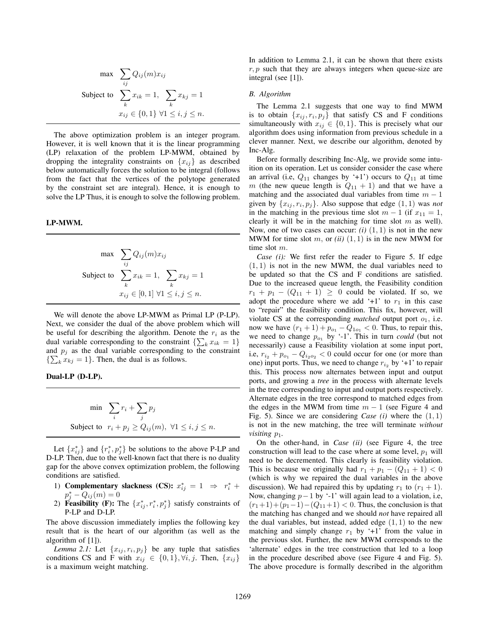$$
\max \quad \sum_{ij} Q_{ij}(m)x_{ij}
$$
\n
$$
\text{Subject to } \sum_{k} x_{ik} = 1, \sum_{k} x_{kj} = 1
$$
\n
$$
x_{ij} \in \{0, 1\} \; \forall 1 \le i, j \le n.
$$

The above optimization problem is an integer program. However, it is well known that it is the linear programming (LP) relaxation of the problem LP-MWM, obtained by dropping the integrality constraints on  $\{x_{ij}\}\$ as described below automatically forces the solution to be integral (follows from the fact that the vertices of the polytope generated by the constraint set are integral). Hence, it is enough to solve the LP Thus, it is enough to solve the following problem.

# **LP-MWM.**

$$
\max \sum_{ij} Q_{ij}(m)x_{ij}
$$
  
Subject to 
$$
\sum_{k} x_{ik} = 1, \sum_{k} x_{kj} = 1
$$

$$
x_{ij} \in [0,1] \,\forall 1 \le i, j \le n.
$$

We will denote the above LP-MWM as Primal LP (P-LP). Next, we consider the dual of the above problem which will be useful for describing the algorithm. Denote the  $r_i$  as the dual variable corresponding to the constraint  $\{\sum_k x_{ik} = 1\}$ <br>and  $n_i$  as the dual variable corresponding to the constraint and  $p_i$  as the dual variable corresponding to the constraint  $\{\sum_k x_{kj} = 1\}$ . Then, the dual is as follows.

# **Dual-LP (D-LP).**

$$
\min \quad \sum_{i} r_i + \sum_{j} p_j
$$
\n
$$
\text{Subject to} \quad r_i + p_j \ge Q_{ij}(m), \ \forall 1 \le i, j \le n.
$$

Let  $\{x_{ij}^*\}$  and  $\{r_i^*, p_j^*\}$  be solutions to the above P-LP and D-LP. Then, due to the well-known fact that there is no duality gap for the above convex optimization problem, the following conditions are satisfied.

- 1) **Complementary slackness (CS):**  $x_{ij}^* = 1 \Rightarrow r_i^* + n^* O((m) = 0)$  $p_j^* - Q_{ij}(m) = 0$ <br>Feasibility (F): T
- 2) **Feasibility** (**F**): The  $\{x_{ij}^*, r_i^*, p_j^*\}$  satisfy constraints of P-LP and D-LP.

The above discussion immediately implies the following key result that is the heart of our algorithm (as well as the algorithm of [1]).

*Lemma 2.1:* Let  $\{x_{ij}, r_i, p_j\}$  be any tuple that satisfies conditions CS and F with  $x_{ij} \in \{0, 1\}$ ,  $\forall i, j$ . Then,  $\{x_{ij}\}\$ is a maximum weight matching.

In addition to Lemma 2.1, it can be shown that there exists  $r, p$  such that they are always integers when queue-size are integral (see [1]).

## *B. Algorithm*

The Lemma 2.1 suggests that one way to find MWM is to obtain  $\{x_{ij}, r_i, p_j\}$  that satisfy CS and F conditions simultaneously with  $x_{ij} \in \{0, 1\}$ . This is precisely what our algorithm does using information from previous schedule in a clever manner. Next, we describe our algorithm, denoted by Inc-Alg.

Before formally describing Inc-Alg, we provide some intuition on its operation. Let us consider consider the case where an arrival (i.e,  $Q_{11}$  changes by '+1') occurs to  $Q_{11}$  at time m (the new queue length is  $Q_{11} + 1$ ) and that we have a matching and the associated dual variables from time  $m - 1$ given by  $\{x_{ij}, r_i, p_j\}$ . Also suppose that edge  $(1, 1)$  was *not* in the matching in the previous time slot  $m - 1$  (if  $x_{11} = 1$ , clearly it will be in the matching for time slot  $m$  as well). Now, one of two cases can occur:  $(i)$   $(1, 1)$  is not in the new MWM for time slot  $m$ , or  $(ii)$   $(1,1)$  is in the new MWM for time slot m.

*Case (i):* We first refer the reader to Figure 5. If edge  $(1, 1)$  is not in the new MWM, the dual variables need to be updated so that the CS and F conditions are satisfied. Due to the increased queue length, the Feasibility condition  $r_1 + p_1 - (Q_{11} + 1) \ge 0$  could be violated. If so, we adopt the procedure where we add '+1' to  $r_1$  in this case to "repair" the feasibility condition. This fix, however, will violate CS at the corresponding *matched* output port  $o_1$ , i.e. now we have  $(r_1 + 1) + p_{o_1} - Q_{1o_1} < 0$ . Thus, to repair this, we need to change  $p_{o_1}$  by '-1'. This in turn *could* (but not necessarily) cause a Feasibility violation at some input port, i.e,  $r_{i_2} + p_{o_1} - Q_{i_2 o_2} < 0$  could occur for one (or more than one) input ports. Thus, we need to change  $r_{i_2}$  by '+1' to repair this. This process now alternates between input and output ports, and growing a *tree* in the process with alternate levels in the tree corresponding to input and output ports respectively. Alternate edges in the tree correspond to matched edges from the edges in the MWM from time  $m - 1$  (see Figure 4 and Fig. 5). Since we are considering *Case (i)* where the (1, 1) is not in the new matching, the tree will terminate *without visiting*  $p_1$ *.* 

On the other-hand, in *Case (ii)* (see Figure 4, the tree construction will lead to the case where at some level,  $p_1$  will need to be decremented. This clearly is feasibility violation. This is because we originally had  $r_1 + p_1 - (Q_{11} + 1) < 0$ (which is why we repaired the dual variables in the above discussion). We had repaired this by updating  $r_1$  to  $(r_1 + 1)$ . Now, changing  $p-1$  by '-1' will again lead to a violation, i.e,  $(r_1+1)+(p_1-1)-(Q_{11}+1) < 0$ . Thus, the conclusion is that the matching has changed and we should *not* have repaired all the dual variables, but instead, added edge  $(1, 1)$  to the new matching and simply change  $r_1$  by '+1' from the value in the previous slot. Further, the new MWM corresponds to the 'alternate' edges in the tree construction that led to a loop in the procedure described above (see Figure 4 and Fig. 5). The above procedure is formally described in the algorithm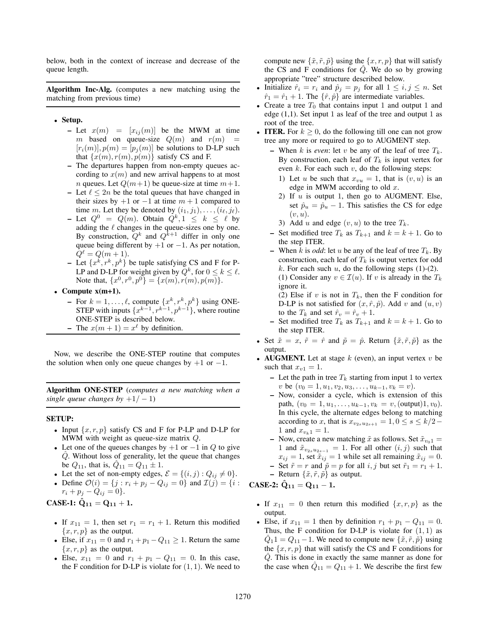below, both in the context of increase and decrease of the queue length.

**Algorithm Inc-Alg.** (computes a new matching using the matching from previous time)

- **Setup.**
	- **–** Let  $x(m) = [x_{ij}(m)]$  be the MWM at time  $m$  based on queue-size  $O(m)$  and  $r(m) =$ m based on queue-size  $Q(m)$  and  $r(m)$  $[r_i(m)], p(m)=[p_i(m)]$  be solutions to D-LP such that  $\{x(m), r(m), p(m)\}\$  satisfy CS and F.
	- **–** The departures happen from non-empty queues according to  $x(m)$  and new arrival happens to at most *n* queues. Let  $Q(m+1)$  be queue-size at time  $m+1$ .
	- **–** Let  $\ell \leq 2n$  be the total queues that have changed in their sizes by  $+1$  or  $-1$  at time  $m + 1$  compared to time m. Let they be denoted by  $(i_1, j_1), \ldots, (i_\ell, j_\ell)$ .
	- **–** Let  $Q^0 = Q(m)$ . Obtain  $Q^k, 1 \leq k \leq \ell$  by adding the  $\ell$  changes in the queue-sizes one by one. By construction,  $Q^k$  and  $Q^{k+1}$  differ in only one queue being different by  $+1$  or  $-1$ . As per notation,  $Q^{\ell} = Q(m + 1).$
	- **–** Let  $\{x^k, r^k, p^k\}$  be tuple satisfying CS and F for P-LP and D-LP for weight given by  $Q^k$ , for  $0 \le k \le \ell$ . Note that,  $\{x^0, r^0, p^0\} = \{x(m), r(m), p(m)\}.$
- **Compute x(m+1).**
	- **–** For  $k = 1, \ldots, \ell$ , compute  $\{x^k, r^k, p^k\}$  using ONE-STEP with inputs  $\{x^{k-1}, r^{k-1}, p^{k-1}\}$ , where routine ONE-STEP is described below.
	- **–** The  $x(m + 1) = x^{\ell}$  by definition.

Now, we describe the ONE-STEP routine that computes the solution when only one queue changes by  $+1$  or  $-1$ .

**Algorithm ONE-STEP** (*computes a new matching when a single queue changes by*  $+1/-1$ )

# **SETUP:**

- Input  $\{x, r, p\}$  satisfy CS and F for P-LP and D-LP for MWM with weight as queue-size matrix Q.
- Let one of the queues changes by  $+1$  or  $-1$  in  $Q$  to give Q. Without loss of generality, let the queue that changes be  $Q_{11}$ , that is,  $Q_{11} = Q_{11} \pm 1$ .
- Let the set of non-empty edges,  $\mathcal{E} = \{(i, j) : Q_{ij} \neq 0\}.$
- Define  $\mathcal{O}(i) = \{j : r_i + p_j Q_{ij} = 0\}$  and  $\mathcal{I}(j) = \{i :$  $r_i + p_j - Q_{ij} = 0$ .

**CASE-1:**  $\hat{Q}_{11} = Q_{11} + 1$ .

- If  $x_{11} = 1$ , then set  $r_1 = r_1 + 1$ . Return this modified  ${x, r, p}$  as the output.
- Else, if  $x_{11} = 0$  and  $r_1 + p_1 Q_{11} \ge 1$ . Return the same  ${x, r, p}$  as the output.
- Else,  $x_{11} = 0$  and  $r_1 + p_1 Q_{11} = 0$ . In this case, the F condition for D-LP is violate for  $(1, 1)$ . We need to

compute new  $\{\tilde{x}, \tilde{r}, \tilde{p}\}$  using the  $\{x, r, p\}$  that will satisfy the CS and F conditions for  $\hat{Q}$ . We do so by growing appropriate "tree" structure described below.

- Initialize  $\hat{r}_i = r_i$  and  $\hat{p}_j = p_j$  for all  $1 \leq i, j \leq n$ . Set  $\hat{r}_1 = \hat{r}_1 + 1$ . The  $\{\hat{r}, \hat{p}\}$  are intermediate variables.
- Create a tree  $T_0$  that contains input 1 and output 1 and edge  $(1,1)$ . Set input 1 as leaf of the tree and output 1 as root of the tree.
- **ITER.** For  $k \geq 0$ , do the following till one can not grow tree any more or required to go to AUGMENT step.
	- **–** When k is *even*: let v be any of the leaf of tree  $T_k$ . By construction, each leaf of  $T_k$  is input vertex for even  $k$ . For each such  $v$ , do the following steps:
		- 1) Let u be such that  $x_{vu} = 1$ , that is  $(v, u)$  is an edge in MWM according to old  $x$ .
		- 2) If  $u$  is output 1, then go to AUGMENT. Else, set  $\hat{p}_u = \hat{p}_u - 1$ . This satisfies the CS for edge  $(v, u).$
		- 3) Add u and edge  $(v, u)$  to the tree  $T_k$ .
	- **–** Set modified tree  $T_k$  as  $T_{k+1}$  and  $k = k + 1$ . Go to the step ITER.

**–** When k is *odd*: let u be any of the leaf of tree  $T_k$ . By construction, each leaf of  $T_k$  is output vertex for odd k. For each such  $u$ , do the following steps (1)-(2). (1) Consider any  $v \in \mathcal{I}(u)$ . If v is already in the  $T_k$ ignore it.

- (2) Else if v is not in  $T_k$ , then the F condition for D-LP is not satisfied for  $(x, \hat{r}, \hat{p})$ . Add v and  $(u, v)$ to the  $T_k$  and set  $\hat{r}_v = \hat{r}_v + 1$ .
- **–** Set modified tree  $T_k$  as  $T_{k+1}$  and  $k = k+1$ . Go to the step ITER.
- Set  $\tilde{x} = x$ ,  $\tilde{r} = \hat{r}$  and  $\tilde{p} = \hat{p}$ . Return  $\{\tilde{x}, \tilde{r}, \tilde{p}\}$  as the output.
- **AUGMENT.** Let at stage  $k$  (even), an input vertex  $v$  be such that  $x_{v1} = 1$ .
	- **–** Let the path in tree  $T_k$  starting from input 1 to vertex v be  $(v_0 = 1, u_1, v_2, u_3, \ldots, u_{k-1}, v_k = v).$
	- **–** Now, consider a cycle, which is extension of this path,  $(v_0 = 1, u_1, \ldots, u_{k-1}, v_k = v$ , (output)1,  $v_0$ ). In this cycle, the alternate edges belong to matching according to x, that is  $x_{v_{2s}u_{2s+1}} = 1, 0 \le s \le k/2-$ 1 and  $x_{v_k 1} = 1$ .
	- **–** Now, create a new matching  $\tilde{x}$  as follows. Set  $\tilde{x}_{v_0}$ <sub>1</sub> = 1 and  $\tilde{x}_{v_{2s}u_{2s-1}} = 1$ . For all other  $(i, j)$  such that  $x_{ij} = 1$ , set  $\tilde{x}_{ij} = 1$  while set all remaining  $\tilde{x}_{ij} = 0$ . **–** Set  $\tilde{r} = r$  and  $\tilde{p} = p$  for all i, j but set  $\tilde{r}_1 = r_1 + 1$ .
	- **–** Return  $\{\tilde{x}, \tilde{r}, \tilde{p}\}$  as output.

**CASE-2:**  $\hat{Q}_{11} = Q_{11} - 1$ .

- If  $x_{11} = 0$  then return this modified  $\{x, r, p\}$  as the output.
- Else, if  $x_{11} = 1$  then by definition  $r_1 + p_1 Q_{11} = 0$ . Thus, the F condition for D-LP is violate for  $(1, 1)$  as  $\hat{Q}_1$ 1 =  $Q_{11}$  – 1. We need to compute new  $\{\tilde{x}, \tilde{r}, \tilde{p}\}$  using the  $\{x, r, p\}$  that will satisfy the CS and F conditions for <sup>Q</sup>ˆ. This is done in exactly the same manner as done for the case when  $Q_{11} = Q_{11} + 1$ . We describe the first few